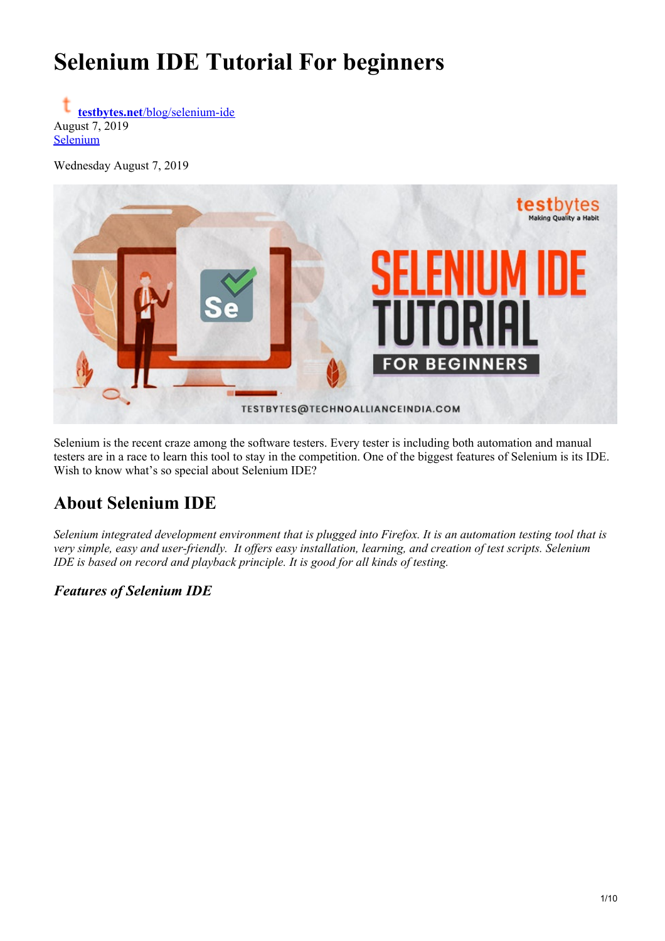# **Selenium IDE Tutorial For beginners**

**testbytes.net**[/blog/selenium-ide](https://www.testbytes.net/blog/selenium-ide/) August 7, 2019 [Selenium](https://www.testbytes.net/selenium/)

Wednesday August 7, 2019



Selenium is the recent craze among the software testers. Every tester is including both automation and manual testers are in a race to learn this tool to stay in the competition. One of the biggest features of Selenium is its IDE. Wish to know what's so special about Selenium IDE?

# **About Selenium IDE**

Selenium integrated development environment that is plugged into Firefox. It is an automation testing tool that is very simple, easy and user-friendly. It offers easy installation, learning, and creation of test scripts. Selenium *IDE is based on record and playback principle. It is good for all kinds of testing.*

*Features of Selenium IDE*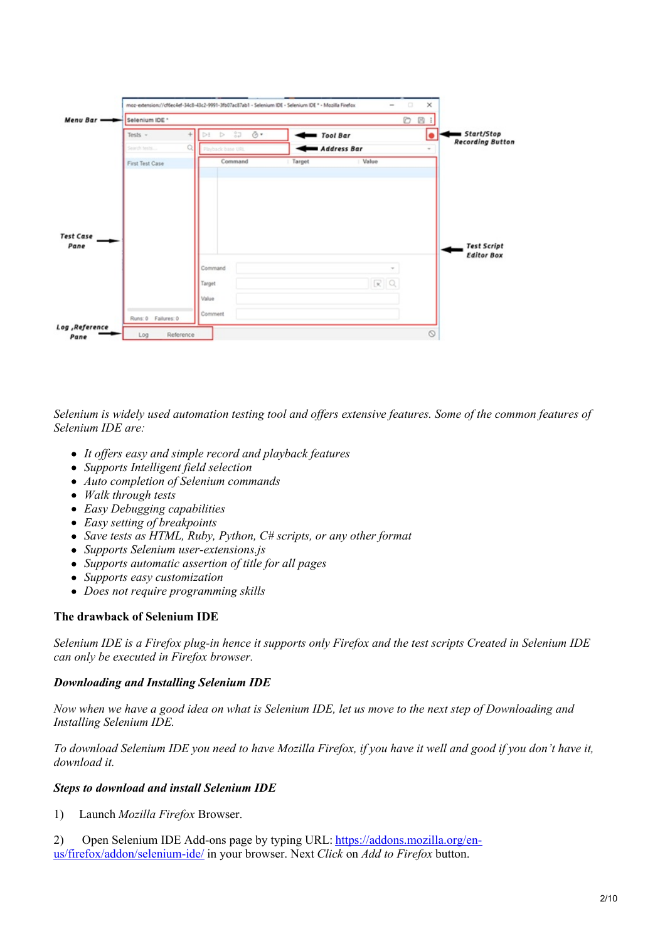| Menu Bar -       | Selenium IDE *  | O<br>图 i                              |             |        |                                   |  |  |  |
|------------------|-----------------|---------------------------------------|-------------|--------|-----------------------------------|--|--|--|
|                  | Tests -         | 37 <sub>o</sub><br>Õ۰<br>$D = D$<br>÷ | Tool Bar    |        | ■ Start/Stop<br>$\bullet$         |  |  |  |
|                  | Search tests    | Q.<br>Playback base URL               | Address Bar |        | <b>Recording Button</b><br>$\sim$ |  |  |  |
|                  | First Test Case | Command                               | Target      | Value  |                                   |  |  |  |
|                  |                 |                                       |             |        |                                   |  |  |  |
|                  |                 |                                       |             |        |                                   |  |  |  |
|                  |                 |                                       |             |        |                                   |  |  |  |
|                  |                 |                                       |             |        |                                   |  |  |  |
|                  |                 |                                       |             |        |                                   |  |  |  |
| <b>Test Case</b> |                 |                                       |             |        |                                   |  |  |  |
| Pane             |                 |                                       |             |        | <b>Test Script</b>                |  |  |  |
|                  |                 |                                       |             |        | <b>Editor Box</b>                 |  |  |  |
|                  |                 | Command                               |             | $\sim$ |                                   |  |  |  |
|                  |                 | Target                                |             | RQ     |                                   |  |  |  |
|                  |                 | Value                                 |             |        |                                   |  |  |  |

Selenium is widely used automation testing tool and offers extensive features. Some of the common features of *Selenium IDE are:*

- *It of ers easy and simple record and playback features*
- *Supports Intelligent field selection*
- *Auto completion of Selenium commands*
- *Walk through tests*
- *Easy Debugging capabilities*
- *Easy setting of breakpoints*
- *Save tests as HTML, Ruby, Python, C# scripts, or any other format*
- *Supports Selenium user-extensions.js*
- *Supports automatic assertion of title for all pages*
- *Supports easy customization*
- *Does not require programming skills*

# **The drawback of Selenium IDE**

Selenium IDE is a Firefox plug-in hence it supports only Firefox and the test scripts Created in Selenium IDE *can only be executed in Firefox browser.*

#### *Downloading and Installing Selenium IDE*

Now when we have a good idea on what is Selenium IDE, let us move to the next step of Downloading and *Installing Selenium IDE.*

To download Selenium IDE you need to have Mozilla Firefox, if you have it well and good if you don't have it, *download it.*

#### *Steps to download and install Selenium IDE*

1) Launch *Mozilla Firefox* Browser.

2) Open Selenium IDE Add-ons page by typing URL: [https://addons.mozilla.org/en](https://addons.mozilla.org/en-US/firefox/addon/selenium-ide/)us/firefox/addon/selenium-ide/ in your browser. Next *Click* on *Add to Firefox* button.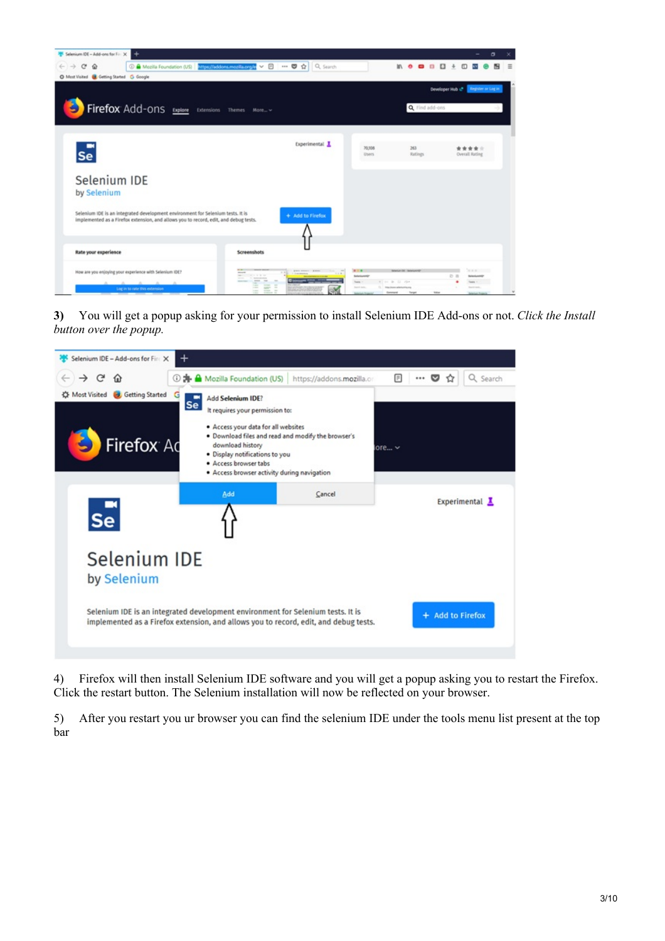

**3)** You will get a popup asking for your permission to install Selenium IDE Add-ons or not. *Click the Install button over the popup.*

| Selenium IDE - Add-ons for Fire X                             | $\div$                                                                                                                                                                                                                                                                                     |             |                  |                |
|---------------------------------------------------------------|--------------------------------------------------------------------------------------------------------------------------------------------------------------------------------------------------------------------------------------------------------------------------------------------|-------------|------------------|----------------|
| $\rightarrow$<br>C                                            | <b>1 3 Mozilla Foundation (US)</b><br>https://addons.mozilla.or                                                                                                                                                                                                                            | Π           |                  | Q Search       |
| <b>Getting Started</b><br><b>C</b> Most Visited<br>Firefox Ad | G<br>Add Selenium IDE?<br>Se<br>It requires your permission to:<br>· Access your data for all websites<br>. Download files and read and modify the browser's<br>download history<br>· Display notifications to you<br>· Access browser tabs<br>· Access browser activity during navigation | ore $ \vee$ |                  |                |
| $s_{e}$                                                       | Add<br>Cancel                                                                                                                                                                                                                                                                              |             |                  | Experimental L |
| Selenium IDE<br>by Selenium                                   |                                                                                                                                                                                                                                                                                            |             |                  |                |
|                                                               | Selenium IDE is an integrated development environment for Selenium tests. It is<br>implemented as a Firefox extension, and allows you to record, edit, and debug tests.                                                                                                                    |             | + Add to Firefox |                |

4) Firefox will then install Selenium IDE software and you will get a popup asking you to restart the Firefox. Click the restart button. The Selenium installation will now be reflected on your browser.

5) After you restart you ur browser you can find the selenium IDE under the tools menu list present at the top bar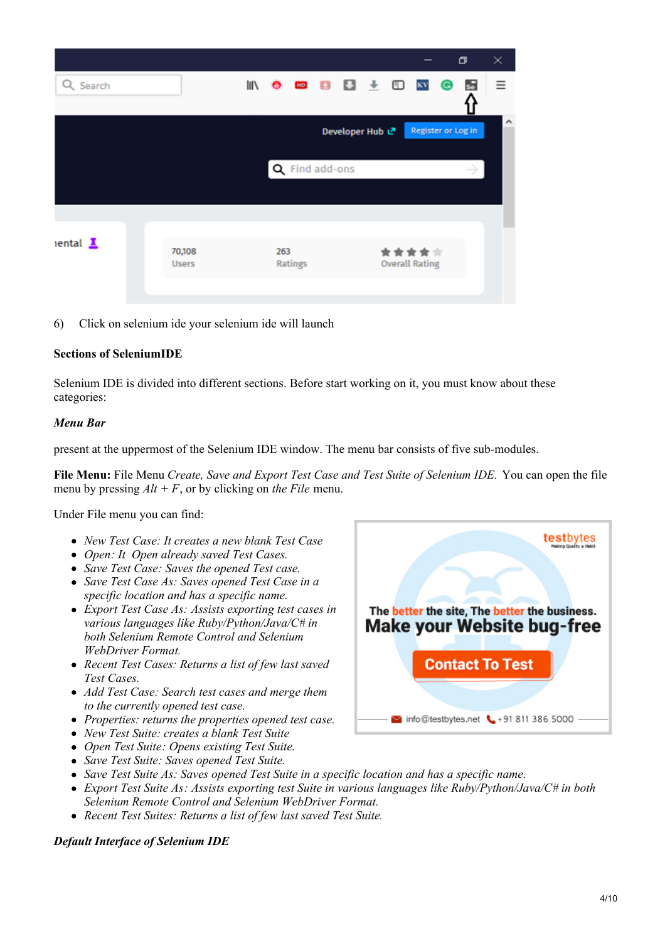|                                    |                        |                     |                |                 |  |                                |           | σ  | ×        |
|------------------------------------|------------------------|---------------------|----------------|-----------------|--|--------------------------------|-----------|----|----------|
| Q Search                           |                        | IN O BO B U L ED KV |                |                 |  |                                | $\bullet$ | sē | $\equiv$ |
|                                    |                        |                     |                | Developer Hub で |  | <b>Register or Log in</b>      |           |    | ^        |
|                                    |                        |                     | Q Find add-ons |                 |  |                                |           |    |          |
|                                    |                        |                     |                |                 |  |                                |           |    |          |
| $i$ ental $\underline{\mathbf{I}}$ | 70,108<br><b>Users</b> | 263                 | Ratings        |                 |  | *****<br><b>Overall Rating</b> |           |    |          |
|                                    |                        |                     |                |                 |  |                                |           |    |          |

6) Click on selenium ide your selenium ide will launch

# **Sections of SeleniumIDE**

Selenium IDE is divided into different sections. Before start working on it, you must know about these categories:

# *Menu Bar*

present at the uppermost of the Selenium IDE window. The menu bar consists of five sub-modules.

**File Menu:** File Menu *Create, Save and Export Test Case and Test Suite of Selenium IDE.* You can open the file menu by pressing  $Alt + F$ , or by clicking on *the File* menu.

Under File menu you can find:

- *New Test Case: It creates a new blank Test Case*
- *Open: It Open already saved Test Cases.*
- *Save Test Case: Saves the opened Test case.*
- *Save Test Case As: Saves opened Test Case in a specific location and has a specific name.*
- *Export Test Case As: Assists exporting test cases in various languages like Ruby/Python/Java/C# in both Selenium Remote Control and Selenium WebDriver Format.*
- *Recent Test Cases: Returns a list of few last saved Test Cases.*
- *Add Test Case: Search test cases and merge them to the currently opened test case.*
- *Properties: returns the properties opened test case.*
- *New Test Suite: creates a blank Test Suite*
- *Open Test Suite: Opens existing Test Suite.*
- *Save Test Suite: Saves opened Test Suite.*
- *Save Test Suite As: Saves opened Test Suite in a specific location and has a specific name.*
- *Export Test Suite As: Assists exporting test Suite in various languages like Ruby/Python/Java/C# in both Selenium Remote Control and Selenium WebDriver Format.*
- *Recent Test Suites: Returns a list of few last saved Test Suite.*

# *Default Interface of Selenium IDE*

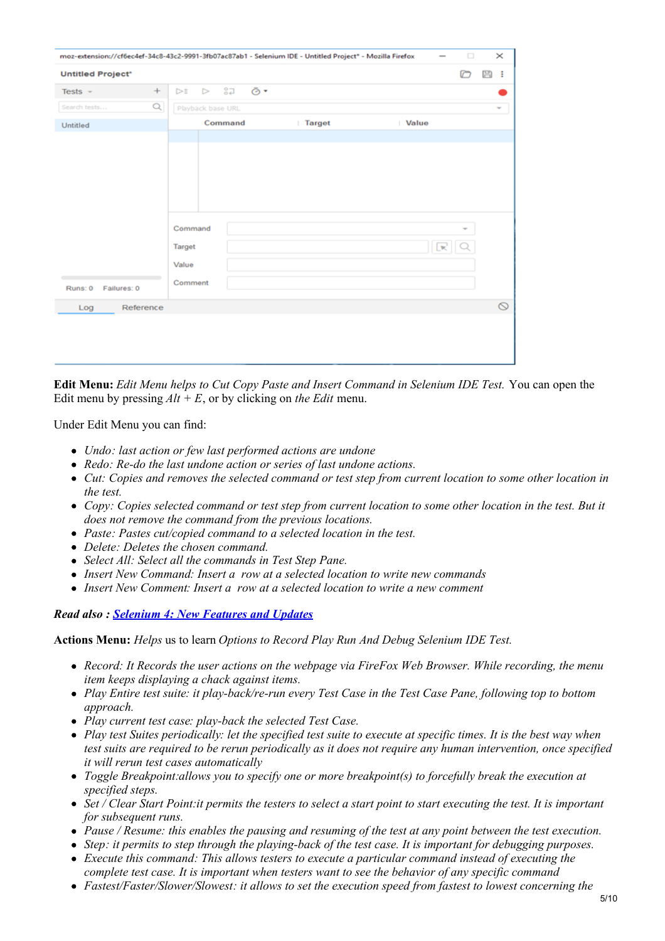| $\times$<br>$\Box$<br>moz-extension://cf6ec4ef-34c8-43c2-9991-3fb07ac87ab1 - Selenium IDE - Untitled Project* - Mozilla Firefox |                                       |             |                   |         |  |  |  |
|---------------------------------------------------------------------------------------------------------------------------------|---------------------------------------|-------------|-------------------|---------|--|--|--|
| D<br><b>Untitled Project*</b>                                                                                                   |                                       |             |                   |         |  |  |  |
| $^{+}$<br>Tests $-$                                                                                                             | និង<br>Ō.<br>$\triangleright$<br>⊳≣   |             |                   |         |  |  |  |
| Q<br>Search tests                                                                                                               | Playback base URL                     |             |                   | ÷       |  |  |  |
| Untitled                                                                                                                        | Command                               | Target<br>٠ | Value             |         |  |  |  |
| Failures: 0<br>Runs: 0                                                                                                          | Command<br>Target<br>Value<br>Comment |             | ÷<br>$\mathbb{R}$ |         |  |  |  |
| Reference<br>Log                                                                                                                |                                       |             |                   | $\circ$ |  |  |  |
|                                                                                                                                 |                                       |             |                   |         |  |  |  |

**Edit Menu:** *Edit Menu helps to Cut Copy Paste and Insert Command in Selenium IDE Test.* You can open the Edit menu by pressing  $Alt + E$ , or by clicking on *the Edit* menu.

Under Edit Menu you can find:

- *Undo: last action or few last performed actions are undone*
- *Redo: Re-do the last undone action or series of last undone actions.*
- Cut: Copies and removes the selected command or test step from current location to some other location in *the test.*
- Copy: Copies selected command or test step from current location to some other location in the test. But it *does not remove the command from the previous locations.*
- *Paste: Pastes cut/copied command to a selected location in the test.*
- *Delete: Deletes the chosen command.*
- *Select All: Select all the commands in Test Step Pane.*
- *Insert New Command: Insert a row at a selected location to write new commands*
- *Insert New Comment: Insert a row at a selected location to write a new comment*

#### *Read also : [Selenium](https://www.testbytes.net/blog/selenium-4-features-and-updates/) 4: New Features and Updates*

**Actions Menu:** *Helps* us to learn *Options to Record Play Run And Debug Selenium IDE Test.*

- *Record: It Records the user actions on the webpage via FireFox Web Browser. While recording, the menu item keeps displaying a chack against items.*
- Play Entire test suite: it play-back/re-run every Test Case in the Test Case Pane, following top to bottom *approach.*
- *Play current test case: play-back the selected Test Case.*
- Play test Suites periodically: let the specified test suite to execute at specific times. It is the best way when test suits are required to be rerun periodically as it does not require any human intervention, once specified *it will rerun test cases automatically*
- *Toggle Breakpoint:allows you to specify one or more breakpoint(s) to forcefully break the execution at specified steps.*
- Set / Clear Start Point: it permits the testers to select a start point to start executing the test. It is important *for subsequent runs.*
- Pause / Resume: this enables the pausing and resuming of the test at any point between the test execution.
- Step: it permits to step through the playing-back of the test case. It is important for debugging purposes.
- *Execute this command: This allows testers to execute a particular command instead of executing the complete test case. It is important when testers want to see the behavior of any specific command*
- *Fastest/Faster/Slower/Slowest: it allows to set the execution speed from fastest to lowest concerning the*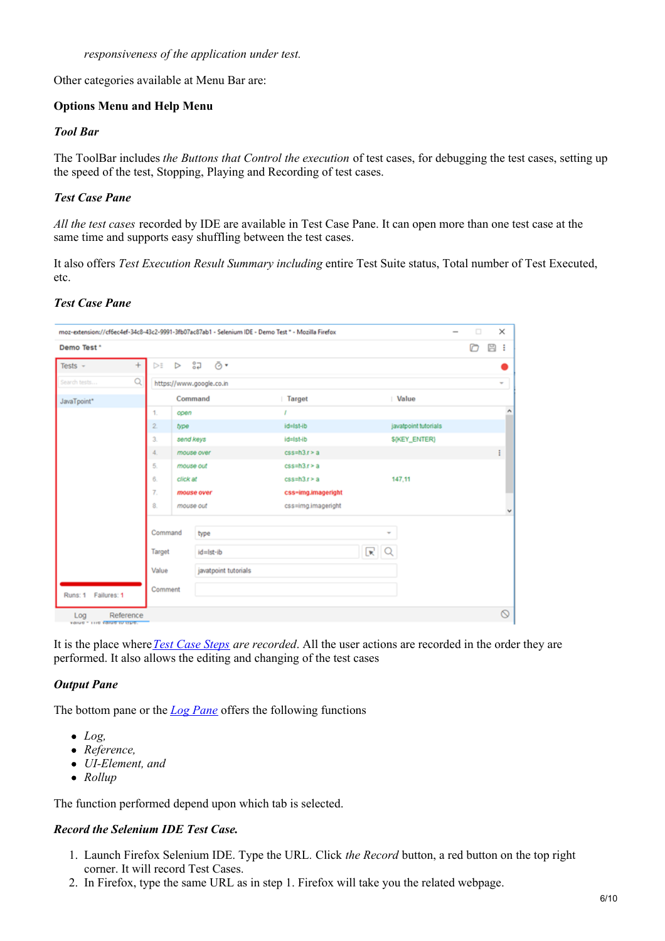Other categories available at Menu Bar are:

# **Options Menu and Help Menu**

## *Tool Bar*

The ToolBar includes *the Buttons that Control the execution* of test cases, for debugging the test cases, setting up the speed of the test, Stopping, Playing and Recording of test cases.

# *Test Case Pane*

*All the test cases* recorded by IDE are available in Test Case Pane. It can open more than one test case at the same time and supports easy shuffling between the test cases.

It also offers *Test Execution Result Summary including* entire Test Suite status, Total number of Test Executed, etc.

# *Test Case Pane*

| Demo Test *            |                       |                  |                          |                           |               |                      | D | B<br>÷ |
|------------------------|-----------------------|------------------|--------------------------|---------------------------|---------------|----------------------|---|--------|
| Tests $-$              | ÷<br>$\triangleright$ | $\triangleright$ | ி ∂∗                     |                           |               |                      |   |        |
| Search tests           | Q                     |                  | https://www.google.co.in |                           |               |                      |   | ٠      |
| JavaTpoint*            |                       |                  | Command                  | Target                    |               | Value                |   |        |
|                        | 1.                    | open             |                          |                           |               |                      |   |        |
|                        | $\overline{2}$        | type             |                          | id=Ist-ib                 |               | javatpoint tutorials |   |        |
|                        | 3.                    | send keys        |                          | id=Ist-ib                 | \${KEY_ENTER} |                      |   |        |
|                        | 4.                    |                  | mouse over               | $css=h3.r>a$              |               |                      |   | ÷      |
|                        | 5.                    |                  | mouse out                | $css=h3.r>a$              |               |                      |   |        |
|                        | 6.                    | click at         |                          | $cs \sinh 3$ . $r \geq a$ |               | 147,11               |   |        |
|                        | 7.                    |                  | mouse over               | css-img.imageright        |               |                      |   |        |
|                        | 8.                    |                  | mouse out                | css=img.imageright        |               |                      |   |        |
|                        |                       |                  |                          |                           |               |                      |   |        |
|                        |                       | Command          | type                     |                           | ۰             |                      |   |        |
|                        | Target                |                  | id=lst-ib                |                           | R   Q         |                      |   |        |
|                        | Value                 |                  | javatpoint tutorials     |                           |               |                      |   |        |
|                        | Comment               |                  |                          |                           |               |                      |   |        |
| Failures: 1<br>Runs: 1 |                       |                  |                          |                           |               |                      |   |        |

It is the place where*Test Case [Steps](http://toolsqa.com/selenium-ide/test-step-pane/) are recorded*. All the user actions are recorded in the order they are performed. It also allows the editing and changing of the test cases

# *Output Pane*

The bottom pane or the *Log [Pane](http://toolsqa.com/selenium-ide/log-pane/)* offers the following functions

- *Log,*
- *Reference,*
- *UI-Element, and*
- *Rollup*

The function performed depend upon which tab is selected.

# *Record the Selenium IDE Test Case.*

- 1. Launch Firefox Selenium IDE. Type the URL*.* Click *the Record* button, a red button on the top right corner. It will record Test Cases.
- 2. In Firefox, type the same URL as in step 1. Firefox will take you the related webpage.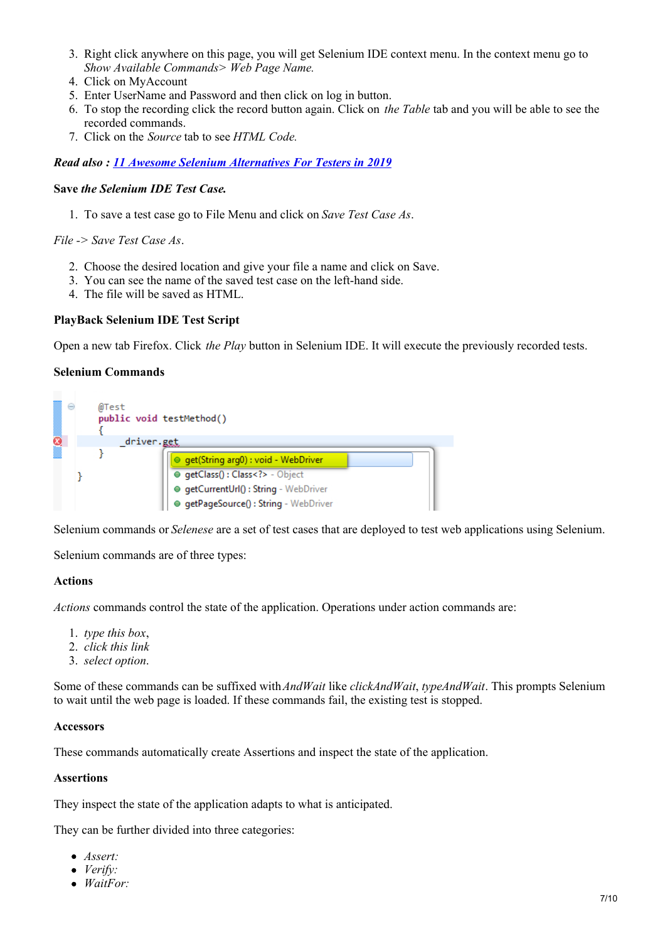- 3. Right click anywhere on this page, you will get Selenium IDE context menu. In the context menu go to *Show Available Commands> Web Page Name.*
- 4. Click on MyAccount
- 5. Enter UserName and Password and then click on log in button.
- 6. To stop the recording click the record button again. Click on *the Table* tab and you will be able to see the recorded commands.
- 7. Click on the *Source* tab to see *HTML Code.*

*Read also : 11 Awesome Selenium [Alternatives](https://www.testbytes.net/blog/selenium-alternatives-for-testers-in-2019/) For Testers in 2019*

## **Save** *the Selenium IDE Test Case.*

1. To save a test case go to File Menu and click on *Save Test Case As*.

*File -> Save Test Case As*.

- 2. Choose the desired location and give your file a name and click on Save.
- 3. You can see the name of the saved test case on the left-hand side.
- 4. The file will be saved as HTML.

#### **PlayBack Selenium IDE Test Script**

Open a new tab Firefox. Click *the Play* button in Selenium IDE. It will execute the previously recorded tests.

#### **Selenium Commands**



Selenium commands or *Selenese* are a set of test cases that are deployed to test web applications using Selenium.

Selenium commands are of three types:

# **Actions**

*Actions* commands control the state of the application. Operations under action commands are:

- 1. *type this box*,
- 2. *click this link*
- 3. *select option*.

Some of these commands can be suffixed with*AndWait* like *clickAndWait*, *typeAndWait*. This prompts Selenium to wait until the web page is loaded. If these commands fail, the existing test is stopped.

#### **Accessors**

These commands automatically create Assertions and inspect the state of the application.

#### **Assertions**

They inspect the state of the application adapts to what is anticipated.

They can be further divided into three categories:

- *Assert:*
- *Verify:*
- *WaitFor:*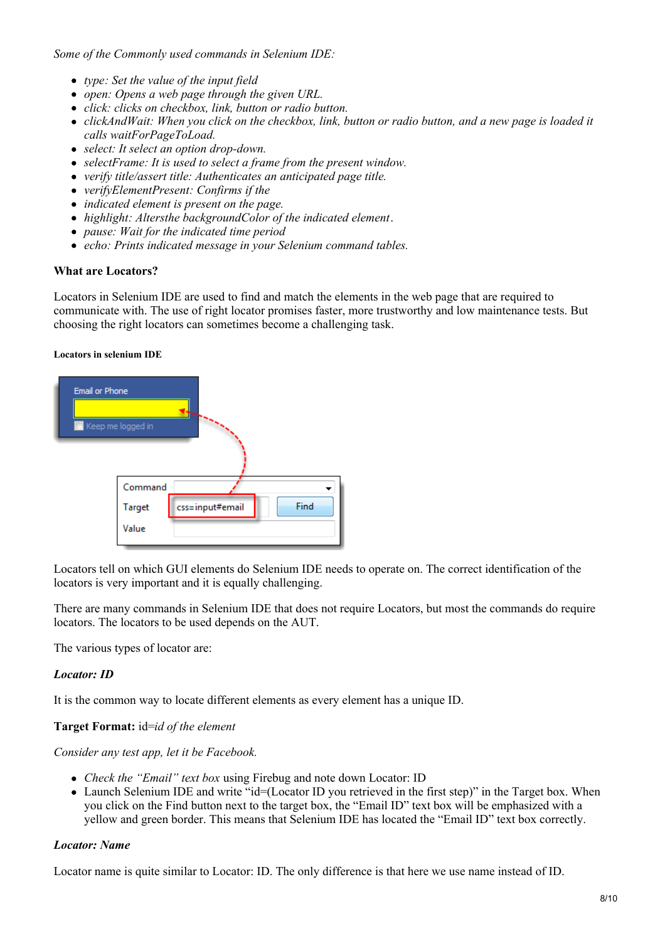*Some of the Commonly used commands in Selenium IDE:*

- *type: Set the value of the input field*
- *open: Opens a web page through the given URL.*
- *click: clicks on checkbox, link, button or radio button.*
- clickAndWait: When you click on the checkbox, link, button or radio button, and a new page is loaded it *calls waitForPageToLoad.*
- *select: It select an option drop-down.*
- *selectFrame: It is used to select a frame from the present window.*
- *verify title/assert title: Authenticates an anticipated page title.*
- *verifyElementPresent: Confirms if the*
- *indicated element is present on the page.*
- *highlight: Altersthe backgroundColor of the indicated element*.
- *pause: Wait for the indicated time period*
- *echo: Prints indicated message in your Selenium command tables.*

#### **What are Locators?**

Locators in Selenium IDE are used to find and match the elements in the web page that are required to communicate with. The use of right locator promises faster, more trustworthy and low maintenance tests. But choosing the right locators can sometimes become a challenging task.

#### **Locators in selenium IDE**



Locators tell on which GUI elements do Selenium IDE needs to operate on. The correct identification of the locators is very important and it is equally challenging.

There are many commands in Selenium IDE that does not require Locators, but most the commands do require locators. The locators to be used depends on the AUT.

The various types of locator are:

#### *Locator: ID*

It is the common way to locate different elements as every element has a unique ID.

#### **Target Format:** id=*id of the element*

*Consider any test app, let it be Facebook.*

- *Check the "Email" text box* using Firebug and note down Locator: ID
- Launch Selenium IDE and write "id=(Locator ID you retrieved in the first step)" in the Target box. When you click on the Find button next to the target box, the "Email ID" text box will be emphasized with a yellow and green border. This means that Selenium IDE has located the "Email ID" text box correctly.

#### *Locator: Name*

Locator name is quite similar to Locator: ID. The only difference is that here we use name instead of ID.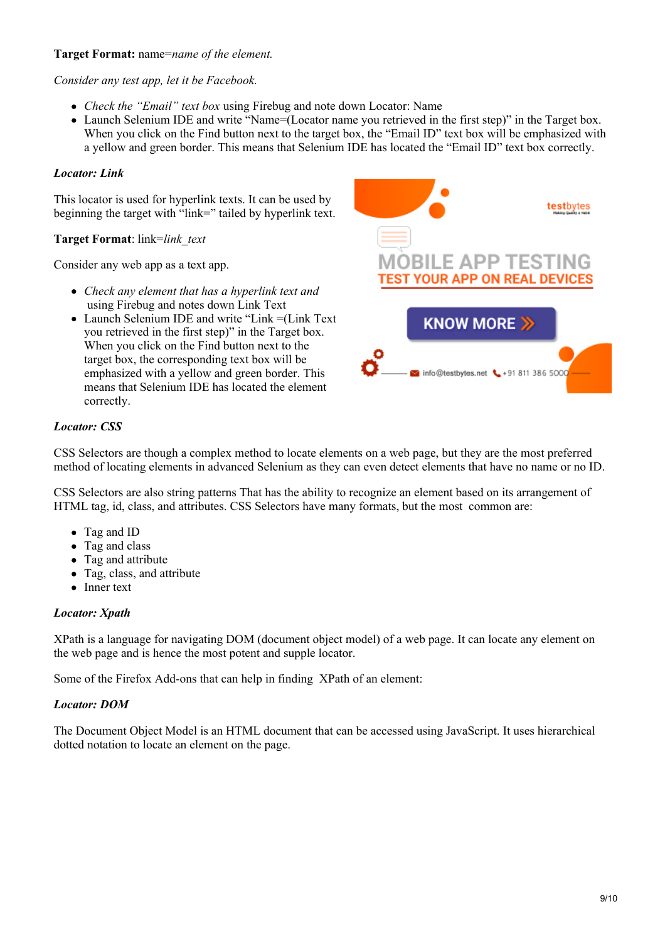## **Target Format:** name=*name of the element.*

*Consider any test app, let it be Facebook.*

- *Check the "Email" text box* using Firebug and note down Locator: Name
- Launch Selenium IDE and write "Name=(Locator name you retrieved in the first step)" in the Target box. When you click on the Find button next to the target box, the "Email ID" text box will be emphasized with a yellow and green border. This means that Selenium IDE has located the "Email ID" text box correctly.

# *Locator: Link*

This locator is used for hyperlink texts. It can be used by beginning the target with "link=" tailed by hyperlink text.

# **Target Format**: link=*link\_text*

Consider any web app as a text app.

- *Check any element that has a hyperlink text and* using Firebug and notes down Link Text
- Launch Selenium IDE and write "Link =(Link Text you retrieved in the first step)" in the Target box. When you click on the Find button next to the target box, the corresponding text box will be emphasized with a yellow and green border. This means that Selenium IDE has located the element correctly.



# *Locator: CSS*

CSS Selectors are though a complex method to locate elements on a web page, but they are the most preferred method of locating elements in advanced Selenium as they can even detect elements that have no name or no ID.

CSS Selectors are also string patterns That has the ability to recognize an element based on its arrangement of HTML tag, id, class, and attributes. CSS Selectors have many formats, but the most common are:

- Tag and ID
- Tag and class
- Tag and attribute
- Tag, class, and attribute
- Inner text

# *Locator: Xpath*

XPath is a language for navigating DOM (document object model) of a web page. It can locate any element on the web page and is hence the most potent and supple locator.

Some of the Firefox Add-ons that can help in finding XPath of an element:

#### *Locator: DOM*

The Document Object Model is an HTML document that can be accessed using JavaScript. It uses hierarchical dotted notation to locate an element on the page.